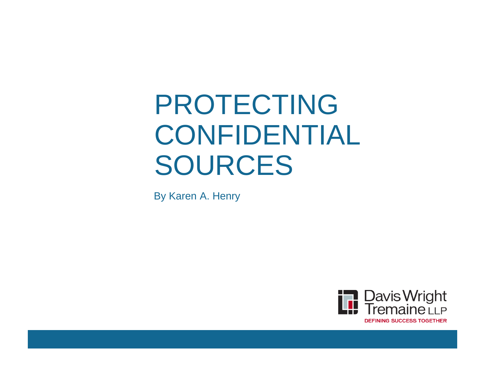# PROTECTING CONFIDENTIAL SOURCES

By Karen A. Henry

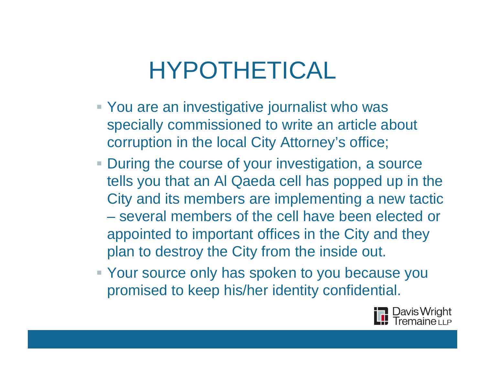## HYPOTHETICAL

- You are an investigative journalist who was specially commissioned to write an article about corruption in the local City Attorney's office;
- **During the course of your investigation, a source** tells you that an Al Qaeda cell has popped up in the City and its members are implementing a new tactic – several members of the cell have been elected or appointed to important offices in the City and they plan to destroy the City from the inside out.
- Your source only has spoken to you because you promised to keep his/her identity confidential.

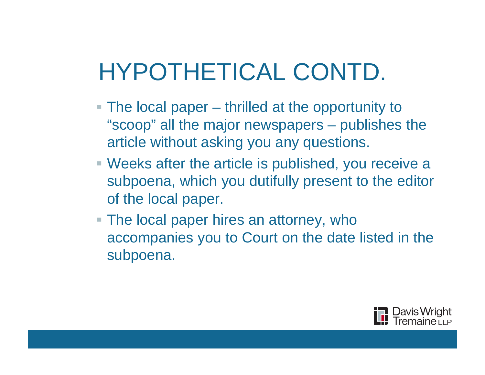# HYPOTHETICAL CONTD.

- The local paper thrilled at the opportunity to "scoop" all the major newspapers – publishes the article without asking you any questions.
- Weeks after the article is published, you receive a subpoena, which you dutifully present to the editor of the local paper.
- The local paper hires an attorney, who accompanies you to Court on the date listed in the subpoena.

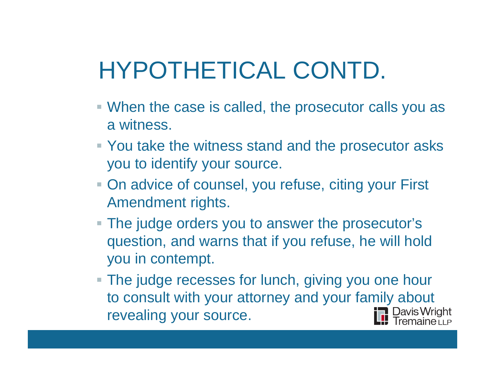# HYPOTHETICAL CONTD.

- When the case is called, the prosecutor calls you as a witness.
- You take the witness stand and the prosecutor asks you to identify your source.
- On advice of counsel, you refuse, citing your First Amendment rights.
- The judge orders you to answer the prosecutor's question, and warns that if you refuse, he will hold you in contempt.
- **The judge recesses for lunch, giving you one hour** to consult with your attorney and your family about revealing your source.∎ Davis Wright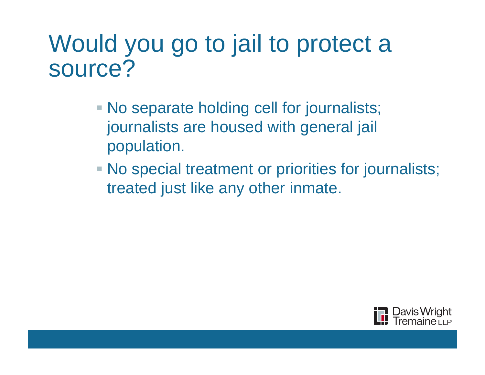### Would you go to jail to protect a source?

- No separate holding cell for journalists; journalists are housed with general jail population.
- No special treatment or priorities for journalists; treated just like any other inmate.

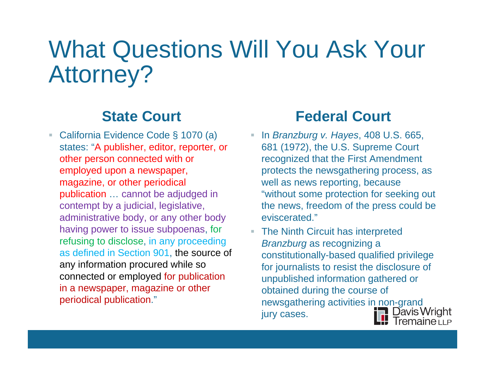## What Questions Will You Ask Your Attorney?

#### **State Court**

■ California Evidence Code § 1070 (a) states: "A publisher, editor, reporter, or other person connected with or employed upon a newspaper, magazine, or other periodical publication … cannot be adjudged in contempt by a judicial, legislative, administrative body, or any other body having power to issue subpoenas, for refusing to disclose, in any proceeding as defined in Section 901, the source of any information procured while so connected or employed for publication in a newspaper, magazine or other periodical publication."

#### **Federal Court**

- In *Branzburg v. Hayes*, 408 U.S. 665, 681 (1972), the U.S. Supreme Court recognized that the First Amendment protects the newsgathering process, as well as news reporting, because "without some protection for seeking out the news, freedom of the press could be eviscerated."
- **The Ninth Circuit has interpreted** *Branzburg* as recognizing a constitutionally-based qualified privilege for journalists to resist the disclosure of unpublished information gathered or obtained during the course of newsgathering activities in non-grand<br>iury cases. jury cases.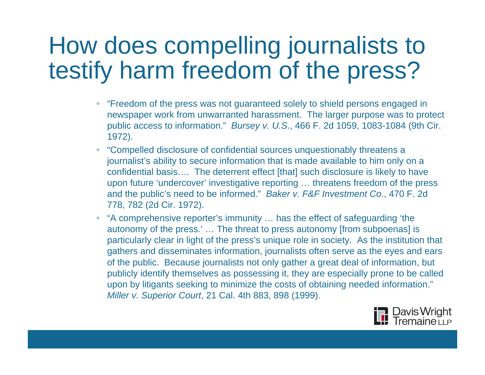## How does compelling journalists to testify harm freedom of the press?

- "Freedom of the press was not guaranteed solely to shield persons engaged in newspaper work from unwarranted harassment. The larger purpose was to protect public access to information." *Bursey v. U.S*., 466 F. 2d 1059, 1083-1084 (9th Cir. 1972).
- "Compelled disclosure of confidential sources unquestionably threatens a journalist's ability to secure information that is made available to him only on a confidential basis…. The deterrent effect [that] such disclosure is likely to have upon future 'undercover' investigative reporting … threatens freedom of the press and the public's need to be informed." *Baker v. F&F Investment Co*., 470 F. 2d 778, 782 (2d Cir. 1972).
- "A comprehensive reporter's immunity ... has the effect of safeguarding 'the autonomy of the press.' … The threat to press autonomy [from subpoenas] is particularly clear in light of the press's unique role in society. As the institution that gathers and disseminates information, journalists often serve as the eyes and ears of the public. Because journalists not only gather a great deal of information, but publicly identify themselves as possessing it, they are especially prone to be called upon by litigants seeking to minimize the costs of obtaining needed information." *Miller v. Superior Court*, 21 Cal. 4th 883, 898 (1999).

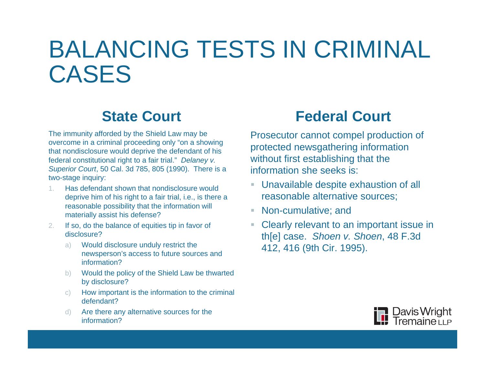## BALANCING TESTS IN CRIMINAL CASES

#### **State Court**

The immunity afforded by the Shield Law may be overcome in a criminal proceeding only "on a showing that nondisclosure would deprive the defendant of his federal constitutional right to a fair trial." *Delaney v. Superior Court*, 50 Cal. 3d 785, 805 (1990). There is a two-stage inquiry:

- 1. Has defendant shown that nondisclosure would deprive him of his right to a fair trial, i.e., is there a reasonable possibility that the information will materially assist his defense?
- 2.If so, do the balance of equities tip in favor of disclosure?
	- a) Would disclosure unduly restrict the newsperson's access to future sources and information?
	- b) Would the policy of the Shield Law be thwarted by disclosure?
	- c) How important is the information to the criminal defendant?
	- d) Are there any alternative sources for the information?

#### **Federal Court**

Prosecutor cannot compel production of protected newsgathering information without first establishing that the information she seeks is:

- Unavailable despite exhaustion of all reasonable alternative sources;
- Non-cumulative; and
- **Clearly relevant to an important issue in** th[e] case. *Shoen v. Shoen*, 48 F.3d 412, 416 (9th Cir. 1995).

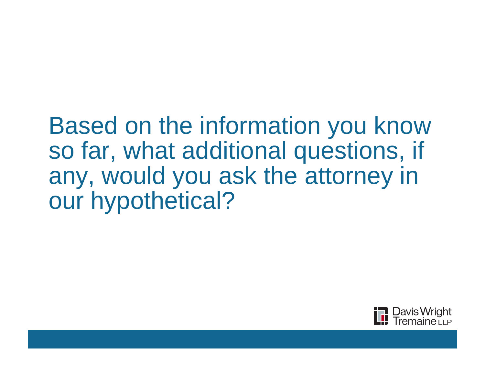### Based on the information you know so far, what additional questions, if any, would you ask the attorney in our hypothetical?